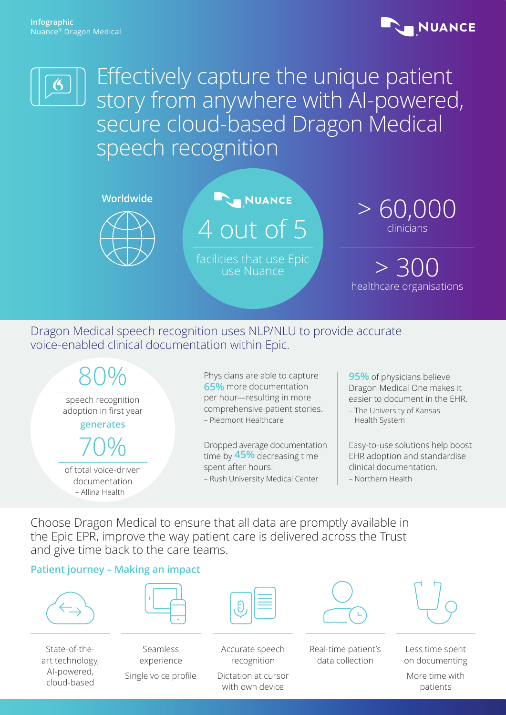



Effectively capture the unique patient story from anywhere with AI-powered, secure cloud-based Dragon Medical speech recognition



4 out of 5

facilities that use Epic use Nuance



 $> 300$ healthcare organisations

## Dragon Medical speech recognition uses NLP/NLU to provide accurate voice-enabled clinical documentation within Epic.



**95%** of physicians believe Dragon Medical One makes it easier to document in the EHR. – The University of Kansas

Easy-to-use solutions help boost EHR adoption and standardise clinical documentation. – Northern Health

Choose Dragon Medical to ensure that all data are promptly available in the Epic EPR, improve the way patient care is delivered across the Trust and give time back to the care teams.

#### **Patient journey – Making an impact**



State-of-theart technology, AI-powered, cloud-based



Seamless experience Single voice profile

Accurate speech recognition

Dictation at cursor with own device



Real-time patient's data collection



Less time spent on documenting

More time with patients